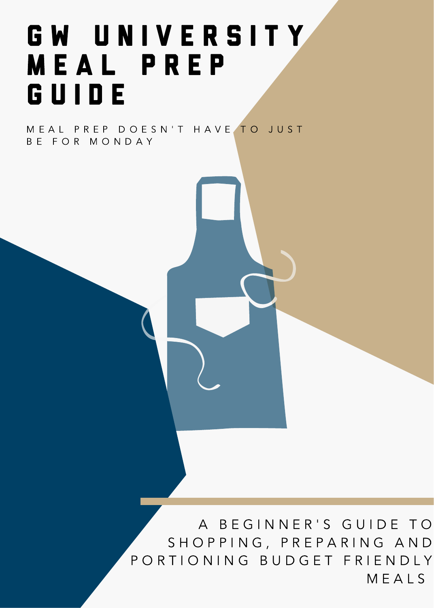### GW UNIVERSITY **MEAL PREP** GUIDE E A L PREP FOR MONDAY E SITY<br>P<br>VE TO JUST<br>C<br>B EG INNER'S GUIDE TO E R SITY<br>T HAVE TO JUST<br>A BEGINNER'S GUIDE TO ESN'T HAVE TO JUST

DE TONNE MEALS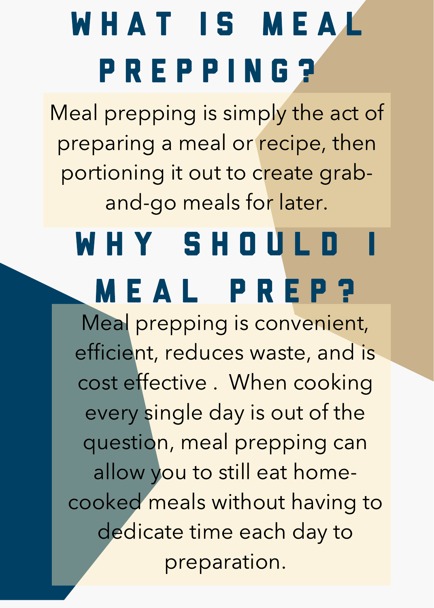# WHAT IS MEAL P R E P P I N G ? **HAT IS MEAL<br>PREPPING?**<br>prepping is simply the act of T IS MEAL<br>EPPING?<br>Ding is simply the act of<br>a meal or recipe, then **IS MEAL<br>PPING?**<br>Ing is simply the act of<br>Ineal or recipe, then<br>it out to create grab-

**S MEA**<br>P P I N G ?<br>g is simply the<br>meal or recipe,<br>cut to create g<br>meals for later. **ATIS MEAL<br>REPPING?**<br>Proping is simply the act or<br>ing it out to create grab-<br>d-go meals for later.<br>**Y** SHOULD I<br>EAL PREP? T IS MEAL<br>
PPING?<br>
Poing is simply the act of<br>
a meal or recipe, then<br>
it out to create grab-<br> **SHOULD I**<br>
ALPREP?<br>
Poping is convenient,<br>
reduces waste, and is AT IS MEAL<br>
REPPING?<br>
repping is simply the act o<br>
ring a meal or recipe, then<br>
ning it out to create grab-<br>
nd-go meals for later.<br>
IY SHOULD I<br>
EAL PREP?<br>
I prepping is convenient,<br>
ent, reduces waste, and is<br>
effective **EPPING?**<br>
EPPING?<br>
pping is simply the act of the american or recipe, then<br>
g it out to create grab-<br>
go meals for later.<br> **SHOULD**<br>
ALPREP?<br>
prepping is convenient,<br>
it, reduces waste, and is<br>
fective . When cooking<br>
sin Meal prepping is simply the act of preparing a meal or recipe, then portioning it out to create graband-go meals for later.

### W H Y S H O U L D M e a l P r e p ?

**PPING?**<br>PPING?<br>ng is simply the act c<br>meal or recipe, ther<br>t out to create grab-<br>meals for later.<br>SHOULDI<br>LPREP?<br>pping is convenient,<br>educes waste, and is<br>ive . When cooking<br>gle day is out of the<br>meal prepping can T IS MEAL<br>
EPPING?<br>
ping is simply the act<br>
g it out to create gral<br>
go meals for later.<br>
SHOULD<br>
AL PREP?<br>
repping is convenien<br>
c, reduces waste, and<br>
ective . When cookin<br>
single day is out of the<br>
on, meal prepping ca<br> **T IS MEAL**<br> **EPPING?**<br>
pping is simply the act of<br>
g a meal or recipe, then<br>
g it out to create grab-<br>
go meals for later.<br> **S H O U L D I**<br> **A L P R E P ?**<br>
repping is convenient,<br>
t, reduces waste, and is<br>
jective . Whe **SMEAL**<br> **PING?**<br> **S** is simply the act<br>
neal or recipe, the<br>
neals for later.<br> **SHOULD**<br> **PREP?**<br>
ping is convenien<br>
duces waste, and<br>
ve . When cookin<br>
le day is out of the<br>
neal prepping can<br>
to still eat home-<br>
ls with Meal prepping is convenient, efficient, reduces waste, and is cost effective. When cooking every single day is out of the question, meal prepping can allow you to still eat homecooked meals without having to dedicate time each day to preparation.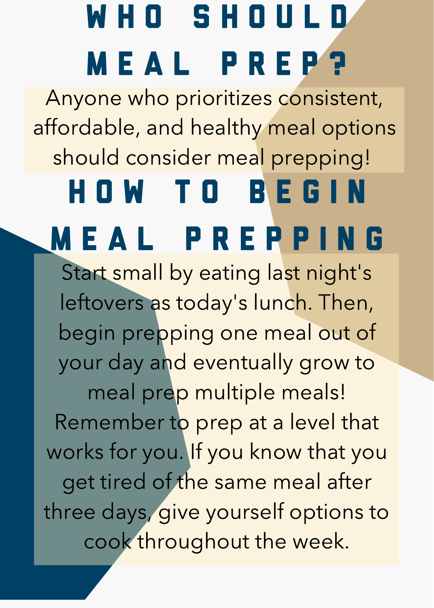## W h o s h o u l d m e a l P r e p ? **10 SHOULD<br>EAL PREP?**<br>who prioritizes consistent, **D SHOULD<br>AL PREP?**<br>ho prioritizes consistent,<br>and healthy meal options **CONSHOULD<br>
CONSHOULD<br>
CONSIDER PREP?**<br>
Who prioritizes consistent<br>
e, and healthy meal option<br>
consider meal prepping! HOSHOULD<br>EAL PREP?<br>
e who prioritizes consistent<br>
ple, and healthy meal optio<br>
d consider meal prepping!<br>
NTOBEGIN<br>
AL PREPPINC<br>
small by eating last night's **CONTINUMERT 1989**<br> **ALPREP?**<br> **ALPREP?**<br> **ACPREP?**<br> **TOBEGIN**<br> **FREPPINC**<br> **ALPREFPINC**<br> **FREPPINC**<br> **ALPREFPINC FALPREP?**<br>EALPREP?<br>who prioritizes consistent<br>le, and healthy meal optior<br>consider meal prepping!<br>WTOBECIN<br>LPREPPING<br>mall by eating last night's<br>ers as today's lunch. Then,<br>prepping one meal out of

Anyone who prioritizes consistent, affordable, and healthy meal options should consider meal prepping!

### H o w t o b e g i n M e a l p r e p p i n g

**HOSHOULD<br>EAL PREP?**<br>The who prioritizes consistent<br>ble, and healthy meal optior<br>d consider meal prepping!<br>J W TOBEGIN<br>AL PREPPING<br>small by eating last night's<br>vers as today's lunch. Then,<br>n prepping one meal out of<br>day an **CONTING INCORREE PREP 7**<br>The prioritizes consiste, and healthy meal op<br>onsider meal preppin<br>**CONTING INCORREE CONTING INCORPER PREPPIN**<br>all by eating last nigh<br>s as today's lunch. The<br>repping one meal out<br>y and eventually **CONTINUMERT 1988**<br> **CONTINUMERT PREP ?**<br> **CONTINUMERT PREPPING**<br> **PREPPING**<br>
by eating last night's<br>
stoday's lunch. Then, ping one meal out of<br>
a eventually grow to<br>
p multiple meals!<br>
to prep at a level that **FAL PREP?**<br> **EAL PREP?**<br> **EAL PREP?**<br> **E** discussions and healthy meal options<br> **d** consider meal prepping!<br> **IN TO BEGIN**<br> **AL PREPPING**<br>
small by eating last night's<br>
vers as today's lunch. Then,<br>
a prepping one meal ou **THO SHOULD<br>
AEAL PREP?**<br>
THE SAL PREP?<br>
THE SAL PREP!<br>
THE SAL PREP!<br>
THE SAL PREP!<br>
THE SAL PREP!<br>
THE SAL PREP!<br>
THE SAL THE SAL THE SAL THE SAL THE SAL THE SALUST THE SAME THE SAME THE SAME OF THE SALUST THE SAME SAME **IND SHOULD**<br>**IEAL PREP?**<br>The who prioritizes consistent,<br>ible, and healthy meal options<br>Id consider meal prepping!<br>**DW TO BEGIN**<br>**AL PREPPING**<br>tsmall by eating last night's<br>vers as today's lunch. Then,<br>in prepping one mea **CONTINGTON STANDAL PREP?**<br>The prioritizes consiste<br>
and healthy meal op<br>
onsider meal preppin<br> **CONTINGTON BEGIN**<br> **CONTING BEGIN**<br> **CONTING BEGIN**<br>
sas today's lunch. The<br>
repping one meal out<br>
y and eventually grow<br>
pre Start small by eating last night's leftovers as today's lunch. Then, begin prepping one meal out of your day and eventually grow to meal prep multiple meals! Remember to prep at a level that works for you. If you know that you get tired of the same meal after three days, give yourself options to cook throughout the week.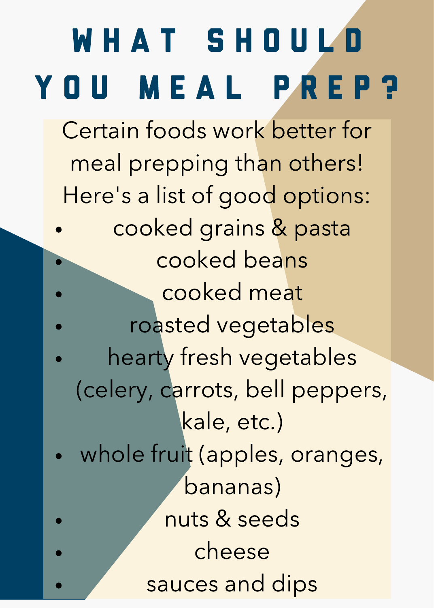### T SHOULD<br>MEAL PREP<br>foods work better for AT SHOULD<br>MEAL PREP **WH**<br>**OU**<br>Certair<br>meal **A T S H O U L D<br>
M E A L P R E P**<br> **D** foods work better for<br>
prepping than others!<br>
a list of good options: **SHOULD**<br>ALPRE<br>swork better found than others<br>of good option<br>grains & pasta **H O U**<br>P**F**<br>Prk bett<br>han ot<br>pod op<br>ns & p<br>beans **100**<br>The paid of<br>than of<br>the seans<br>the seans<br>meat **3 H O U L<br>
Work better<br>
g than othe<br>
good optic<br>
rains & past<br>
ed beans<br>
ed meat<br>
vegetables SHOULD**<br>**EALPREI**<br>Pods work better for<br>ping than others<br>t of good options<br>d grains & pasta<br>poked beans<br>poked meat<br>ted vegetables<br>fresh vegetables **T SHOULD<br>IEAL PREP?**<br>Oods work better for<br>epping than others!<br>list of good options:<br>ked grains & pasta<br>cooked beans<br>cooked meat<br>asted vegetables<br>ty fresh vegetables<br>ty fresh vegetables **H 0**<br>
ork b<br>
than<br>
ood<br>
ins &<br>
l bea<br>
d me<br>
egeta<br>
vege<br>
, bell<br>
etc.) FREP<br> **FREP**<br> **FREP**<br> **FREP**<br> **FREP**<br> **FREP**<br> **FREP**<br> **FREP**<br> **FREP**<br> **FREP**<br> **FREP**<br> **ERP**<br> **FREP**<br> **ERP**<br> **ERP**<br> **ERP**<br> **ERP**<br> **ERP**<br> **ERP**<br> **ERP**<br> **ERP**<br> **ERP**<br> **ERP**<br> **ERP**<br> **ERP**<br> **ERP**<br> **ERP**<br> **ERP**<br> **ERP**<br> **ERP**<br> **E S H O U**<br> **L** P<br>
work bet<br>
ig than o<br>
igood op<br>
irains & p<br>
ed meat<br>
vegetab<br>
sh vegetab<br>
sh vegetab<br>
sh vegetab<br>
sh vegetab<br>
e, etc.)<br>
apples, o<br>
nanas)<br>
& seeds **HOU**<br> **LPR**<br>
vork bette<br>
good opt<br>
rains & pa<br>
d beans<br>
ed meat<br>
vegetable<br>
h vegetable<br>
s, bell pe<br>
s, etc.)<br>
pples, ora<br>
anas)<br>
& seeds<br>
eese<br>
and dips WHAT SHOULD y o u m e a l p r e p ? Certain foods work better for meal prepping than others! Here's a list of good options:

- cooked grains & pasta cooked beans
	- cooked meat
	- roasted vegetables
- hearty fresh vegetables (celery, carrots, bell peppers, kale, etc.)
- whole fruit (apples, oranges, bananas) nuts & seeds cheese

sauces and dips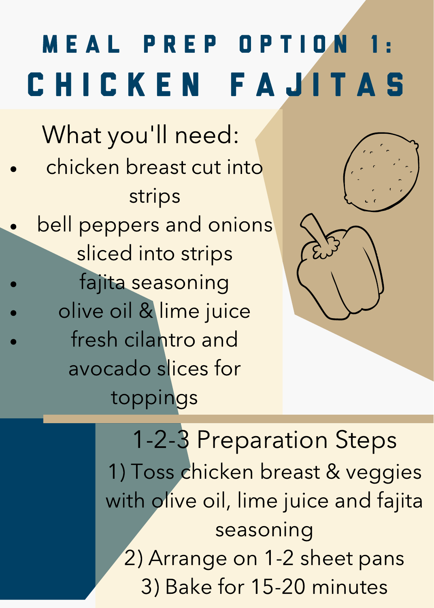# **PREP OF<br>KEN FA**<br>pu'll need:<br>breast cut into L<br>**C K**<br><sub>Vou</sub>' 'llREP<br>MF<br>need: M E A L P R E P O P T I O N 1 C H I C K E N F A J I T A S

 peppers and onions **PREP<br>
CEN** |<br>
u'll need<br>
reast cut in<br>
trips<br>
ers and on<br>
into strips **PREP<br>KEN** |<br>Pu'll need<br>preast cut i<br>strips<br>ers and on<br>l into strips<br>seasoning **LPREP 0<br>
CKENF**<br>
you'll need:<br>
n breast cut intenders<br>
strips<br>
pers and onior<br>
ed into strips<br>
ta seasoning<br>
oil & lime iuice **FREP**<br> **KENF**<br>
ou'll need:<br>
breast cut in<br>
strips<br>
oers and onic<br>
d into strips<br>
seasoning<br>
il & lime juice<br>
cilantro and **REP**<br> **ENF**<br>
II need:<br>
Past cut in<br>
ps<br>
and onic<br>
to strips<br>
asoning<br>
lime juice<br>
tro and<br>
slices for **FREP OPTION 1:**<br> **KEN FAJITAS**<br>
bu'll need:<br>
breast cut into<br>
strips<br>
ers and onions<br>
dinto strips<br>
seasoning<br>
Relime juice<br>
cilantro and<br>
do slices for<br>
ppings<br>
1-2-3 Preparation Steps<br>
Toss chicken breast & veggies **EN FAJITAS**<br>
Il need:<br>
east cut into<br>
rips<br>
s and onions<br>
ito strips<br>
asoning<br>
lime juice<br>
antro and<br>
slices for<br>
pings<br>
-2-3 Preparation Steps<br>
poster bings<br>
-2-3 Preparation Steps<br>
olive oil. lime iuice and failta PREP OPTION 1:<br>
EN FAJITAS<br>
I'll need:<br>
east cut into<br>
rips<br>
rs and onions<br>
nto strips<br>
assoning<br>
alime juice<br>
antro and<br>
ps<br>
lime juice<br>
2-3 Preparation Steps<br>
oss chicken breast & veggie<br>
olive oil, lime juice and fajit<br>



REP OPTION 1:<br>
EN FAJITA!<br>
Ineed:<br>
ast cut into<br>
ps<br>
and onions<br>
co strips<br>
and onions<br>
co strips<br>
soning<br>
lime juice<br>
tro and<br>
slices for<br>
ings<br>
2-3 Preparation Steps<br>
schicken breast & vegg<br>
sky every sing the seasoning<br> with olive oil, lime juice and fajita seasoning 2) Arrange on 1-2 sheet pans 3) Bake for 15-20 minutes